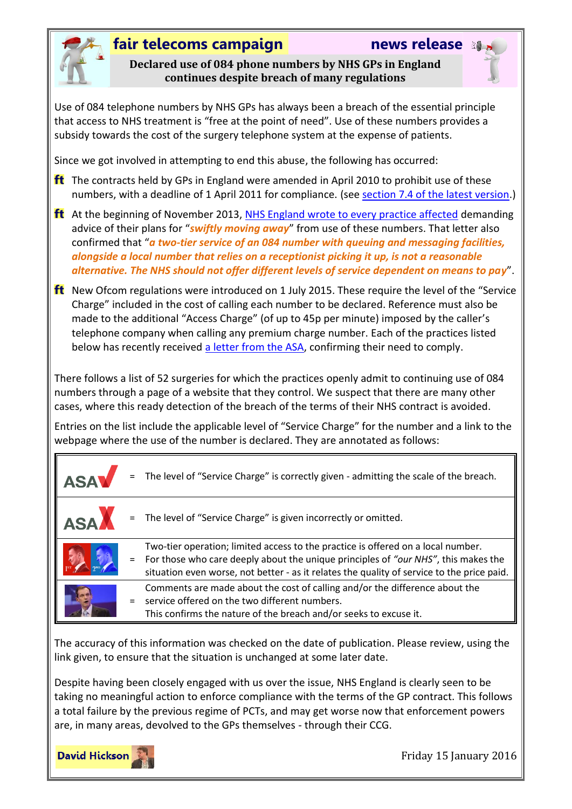

### **fair telecoms campaign news release**

**Declared use of 084 phone numbers by NHS GPs in England continues despite breach of many regulations**

Use of 084 telephone numbers by NHS GPs has always been a breach of the essential principle that access to NHS treatment is "free at the point of need". Use of these numbers provides a subsidy towards the cost of the surgery telephone system at the expense of patients.

Since we got involved in attempting to end this abuse, the following has occurred:

- **ft** The contracts held by GPs in England were amended in April 2010 to prohibit use of these numbers, with a deadline of 1 April 2011 for compliance. (see [section 7.4 of the latest version.](http://www.england.nhs.uk/commissioning/wp-content/uploads/sites/12/2015/06/gms-2015-16.pdfpage=31))
- **ft** At the beginning of November 2013, [NHS England wrote to every practice affected](http://www.england.nhs.uk/2013/11/04/gps-084-num/) demanding advice of their plans for "*swiftly moving away*" from use of these numbers. That letter also confirmed that "*a two-tier service of an 084 number with queuing and messaging facilities, alongside a local number that relies on a receptionist picking it up, is not a reasonable alternative. The NHS should not offer different levels of service dependent on means to pay*".
- $ft$  New Ofcom regulations were introduced on 1 July 2015. These require the level of the "Service" Charge" included in the cost of calling each number to be declared. Reference must also be made to the additional "Access Charge" (of up to 45p per minute) imposed by the caller's telephone company when calling any premium charge number. Each of the practices listed below has recently received [a letter from the ASA,](http://www.fairtelecoms.org.uk/uploads/1/1/4/5/11456053/asa_letter_-_call_charges.pdf) confirming their need to comply.

There follows a list of 52 surgeries for which the practices openly admit to continuing use of 084 numbers through a page of a website that they control. We suspect that there are many other cases, where this ready detection of the breach of the terms of their NHS contract is avoided.

Entries on the list include the applicable level of "Service Charge" for the number and a link to the webpage where the use of the number is declared. They are annotated as follows:

| <b>ASA</b> |     | The level of "Service Charge" is correctly given - admitting the scale of the breach.                                                                                                                                                                                |
|------------|-----|----------------------------------------------------------------------------------------------------------------------------------------------------------------------------------------------------------------------------------------------------------------------|
| <b>ASA</b> |     | The level of "Service Charge" is given incorrectly or omitted.                                                                                                                                                                                                       |
|            | $=$ | Two-tier operation; limited access to the practice is offered on a local number.<br>For those who care deeply about the unique principles of "our NHS", this makes the<br>situation even worse, not better - as it relates the quality of service to the price paid. |
|            | $=$ | Comments are made about the cost of calling and/or the difference about the<br>service offered on the two different numbers.<br>This confirms the nature of the breach and/or seeks to excuse it.                                                                    |

The accuracy of this information was checked on the date of publication. Please review, using the link given, to ensure that the situation is unchanged at some later date.

Despite having been closely engaged with us over the issue, NHS England is clearly seen to be taking no meaningful action to enforce compliance with the terms of the GP contract. This follows a total failure by the previous regime of PCTs, and may get worse now that enforcement powers are, in many areas, devolved to the GPs themselves - through their CCG.

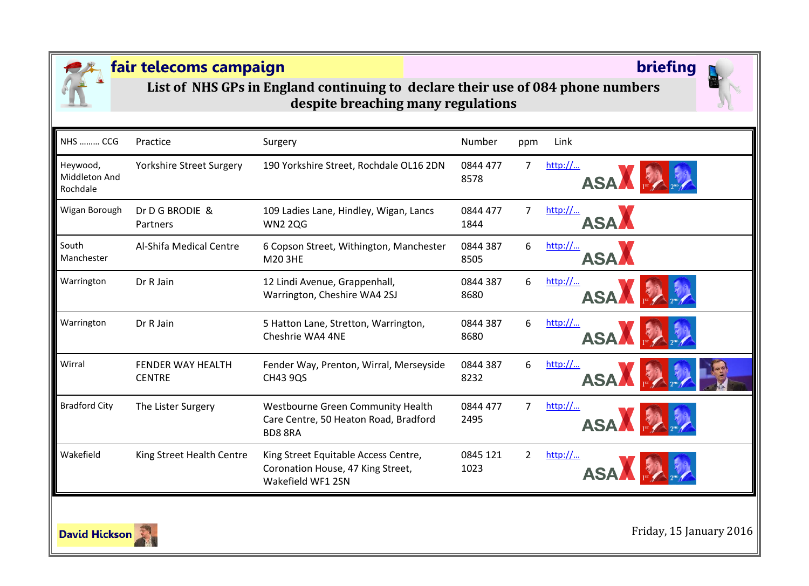

**List of NHS GPs in England continuing to declare their use of 084 phone numbers despite breaching many regulations**

| <b>NHS  CCG</b>                       | Practice                           | Surgery                                                                                        | Number           | ppm            | Link                                                   |
|---------------------------------------|------------------------------------|------------------------------------------------------------------------------------------------|------------------|----------------|--------------------------------------------------------|
| Heywood,<br>Middleton And<br>Rochdale | <b>Yorkshire Street Surgery</b>    | 190 Yorkshire Street, Rochdale OL16 2DN                                                        | 0844 477<br>8578 | 7              | http://<br>ASA F                                       |
| Wigan Borough                         | Dr D G BRODIE &<br>Partners        | 109 Ladies Lane, Hindley, Wigan, Lancs<br><b>WN2 2QG</b>                                       | 0844 477<br>1844 | 7              | http://<br><b>ASA</b>                                  |
| South<br>Manchester                   | Al-Shifa Medical Centre            | 6 Copson Street, Withington, Manchester<br>M20 3HE                                             | 0844 387<br>8505 | 6              | http://<br><b>ASA</b>                                  |
| Warrington                            | Dr R Jain                          | 12 Lindi Avenue, Grappenhall,<br>Warrington, Cheshire WA4 2SJ                                  | 0844 387<br>8680 | 6              | http://<br><b>ASA</b>                                  |
| Warrington                            | Dr R Jain                          | 5 Hatton Lane, Stretton, Warrington,<br>Cheshrie WA4 4NE                                       | 0844 387<br>8680 | 6              | $\frac{\text{http://}}{\text{http://}}$<br><b>ASAA</b> |
| Wirral                                | FFNDFR WAY HFALTH<br><b>CENTRE</b> | Fender Way, Prenton, Wirral, Merseyside<br>CH43 9QS                                            | 0844 387<br>8232 | 6              | $\frac{\text{http://}}{\text{http://}}$<br><b>ASA</b>  |
| <b>Bradford City</b>                  | The Lister Surgery                 | Westbourne Green Community Health<br>Care Centre, 50 Heaton Road, Bradford<br><b>BD8 8RA</b>   | 0844 477<br>2495 | $\overline{7}$ | http://<br>ASA FA                                      |
| Wakefield                             | King Street Health Centre          | King Street Equitable Access Centre,<br>Coronation House, 47 King Street,<br>Wakefield WF1 2SN | 0845 121<br>1023 | $\overline{2}$ | http://<br><b>ASA</b>                                  |

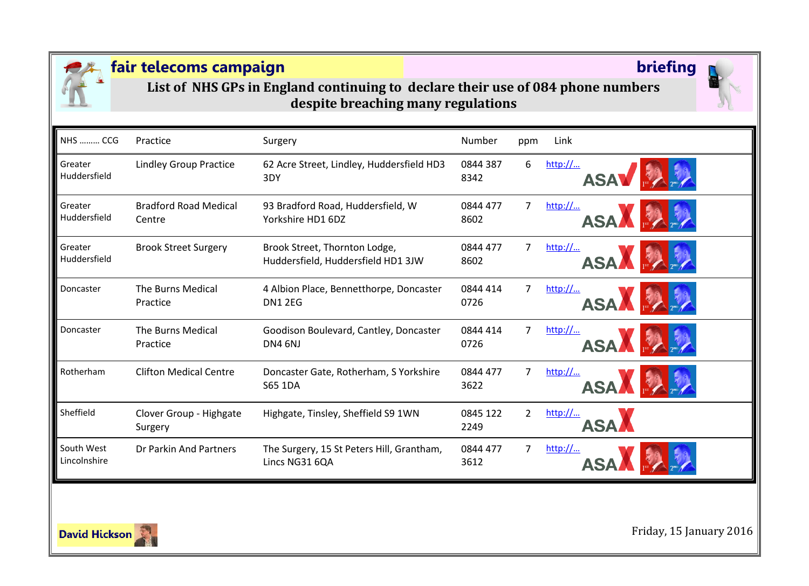

**List of NHS GPs in England continuing to declare their use of 084 phone numbers despite breaching many regulations**

| <b>NHS  CCG</b>            | Practice                               | Surgery                                                             | Number           | ppm            | Link                     |
|----------------------------|----------------------------------------|---------------------------------------------------------------------|------------------|----------------|--------------------------|
| Greater<br>Huddersfield    | <b>Lindley Group Practice</b>          | 62 Acre Street, Lindley, Huddersfield HD3<br>3DY                    | 0844 387<br>8342 | 6              | http://<br><b>ASAV</b>   |
| Greater<br>Huddersfield    | <b>Bradford Road Medical</b><br>Centre | 93 Bradford Road, Huddersfield, W<br>Yorkshire HD1 6DZ              | 0844 477<br>8602 | 7              | http://<br>ASA <b>MA</b> |
| Greater<br>Huddersfield    | <b>Brook Street Surgery</b>            | Brook Street, Thornton Lodge,<br>Huddersfield, Huddersfield HD1 3JW | 0844 477<br>8602 | 7              | http://<br><b>ASAA</b>   |
| Doncaster                  | The Burns Medical<br>Practice          | 4 Albion Place, Bennetthorpe, Doncaster<br><b>DN1 2EG</b>           | 0844 414<br>0726 | $\overline{7}$ | http://<br><b>ASAA</b>   |
| Doncaster                  | The Burns Medical<br>Practice          | Goodison Boulevard, Cantley, Doncaster<br>DN4 6NJ                   | 0844 414<br>0726 | $\overline{7}$ | http://<br><b>ASAA</b>   |
| Rotherham                  | <b>Clifton Medical Centre</b>          | Doncaster Gate, Rotherham, S Yorkshire<br><b>S65 1DA</b>            | 0844 477<br>3622 | 7              | http://<br><b>ASA</b>    |
| Sheffield                  | Clover Group - Highgate<br>Surgery     | Highgate, Tinsley, Sheffield S9 1WN                                 | 0845 122<br>2249 | $\overline{2}$ | http://<br>ASA,          |
| South West<br>Lincolnshire | Dr Parkin And Partners                 | The Surgery, 15 St Peters Hill, Grantham,<br>Lincs NG31 6QA         | 0844 477<br>3612 | 7              | http://                  |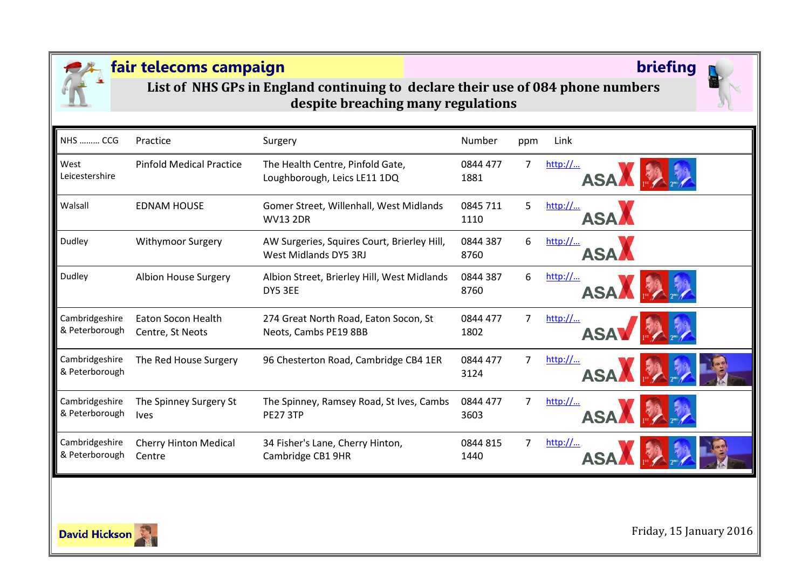

**List of NHS GPs in England continuing to declare their use of 084 phone numbers despite breaching many regulations**

| <b>NHS  CCG</b>                  | Practice                                      | Surgery                                                              | <b>Number</b>    | ppm            | Link                                                  |
|----------------------------------|-----------------------------------------------|----------------------------------------------------------------------|------------------|----------------|-------------------------------------------------------|
| West<br>Leicestershire           | <b>Pinfold Medical Practice</b>               | The Health Centre, Pinfold Gate,<br>Loughborough, Leics LE11 1DQ     | 0844 477<br>1881 | 7              | http://<br><b>ASAA</b>                                |
| Walsall                          | <b>EDNAM HOUSE</b>                            | Gomer Street, Willenhall, West Midlands<br><b>WV13 2DR</b>           | 0845 711<br>1110 | 5              | $\frac{\text{http://}}{\text{http://}}$<br><b>ASA</b> |
| Dudley                           | <b>Withymoor Surgery</b>                      | AW Surgeries, Squires Court, Brierley Hill,<br>West Midlands DY5 3RJ | 0844 387<br>8760 | 6              | http://<br><b>ASA</b>                                 |
| Dudley                           | Albion House Surgery                          | Albion Street, Brierley Hill, West Midlands<br>DY5 3EE               | 0844 387<br>8760 | 6              | http://<br>ASAN FAIL                                  |
| Cambridgeshire<br>& Peterborough | <b>Eaton Socon Health</b><br>Centre, St Neots | 274 Great North Road, Eaton Socon, St<br>Neots, Cambs PE19 8BB       | 0844 477<br>1802 | $\overline{7}$ | http://<br>ASAV                                       |
| Cambridgeshire<br>& Peterborough | The Red House Surgery                         | 96 Chesterton Road, Cambridge CB4 1ER                                | 0844 477<br>3124 | 7              | http://<br>ASA                                        |
| Cambridgeshire<br>& Peterborough | The Spinney Surgery St<br><b>lves</b>         | The Spinney, Ramsey Road, St Ives, Cambs<br><b>PE27 3TP</b>          | 0844 477<br>3603 | 7              | http://<br>ASA F                                      |
| Cambridgeshire<br>& Peterborough | <b>Cherry Hinton Medical</b><br>Centre        | 34 Fisher's Lane, Cherry Hinton,<br>Cambridge CB1 9HR                | 0844 815<br>1440 | 7              | http://<br><b>ASA</b>                                 |

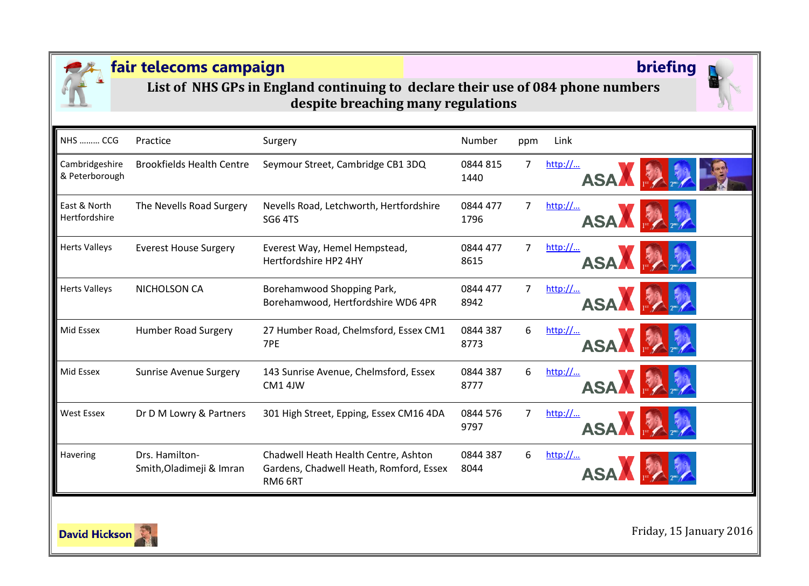

**List of NHS GPs in England continuing to declare their use of 084 phone numbers despite breaching many regulations**

| <b>NHS  CCG</b>                  | Practice                                   | Surgery                                                                                    | Number           | ppm            | Link                  |
|----------------------------------|--------------------------------------------|--------------------------------------------------------------------------------------------|------------------|----------------|-----------------------|
| Cambridgeshire<br>& Peterborough | <b>Brookfields Health Centre</b>           | Seymour Street, Cambridge CB1 3DQ                                                          | 0844 815<br>1440 | $\overline{7}$ | http://<br>ASA F      |
| East & North<br>Hertfordshire    | The Nevells Road Surgery                   | Nevells Road, Letchworth, Hertfordshire<br>SG6 4TS                                         | 0844 477<br>1796 | $\overline{7}$ | http://<br>ASA FA     |
| <b>Herts Valleys</b>             | <b>Everest House Surgery</b>               | Everest Way, Hemel Hempstead,<br>Hertfordshire HP2 4HY                                     | 0844 477<br>8615 | 7              | http://<br><b>ASA</b> |
| <b>Herts Valleys</b>             | NICHOLSON CA                               | Borehamwood Shopping Park,<br>Borehamwood, Hertfordshire WD6 4PR                           | 0844 477<br>8942 | 7              | http://<br><b>ASA</b> |
| Mid Essex                        | <b>Humber Road Surgery</b>                 | 27 Humber Road, Chelmsford, Essex CM1<br>7PE                                               | 0844 387<br>8773 | 6              | http://<br><b>ASA</b> |
| Mid Essex                        | <b>Sunrise Avenue Surgery</b>              | 143 Sunrise Avenue, Chelmsford, Essex<br>CM1 4JW                                           | 0844 387<br>8777 | 6              | http://<br><b>ASA</b> |
| <b>West Essex</b>                | Dr D M Lowry & Partners                    | 301 High Street, Epping, Essex CM16 4DA                                                    | 0844 576<br>9797 | 7              | http://<br><b>ASA</b> |
| Havering                         | Drs. Hamilton-<br>Smith, Oladimeji & Imran | Chadwell Heath Health Centre, Ashton<br>Gardens, Chadwell Heath, Romford, Essex<br>RM6 6RT | 0844 387<br>8044 | 6              | http://               |

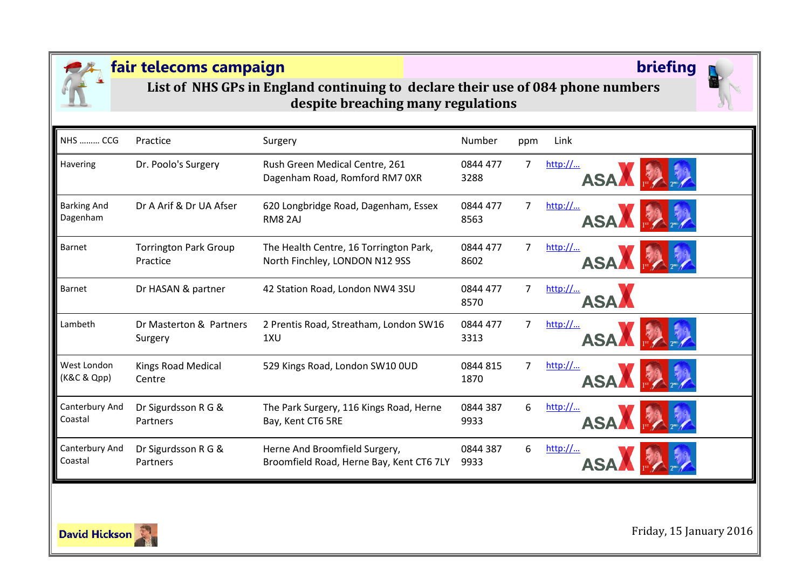

**List of NHS GPs in England continuing to declare their use of 084 phone numbers despite breaching many regulations**

| <b>NHS  CCG</b>                | Practice                                 | Surgery                                                                   | Number           | ppm | Link                                                  |
|--------------------------------|------------------------------------------|---------------------------------------------------------------------------|------------------|-----|-------------------------------------------------------|
| Havering                       | Dr. Poolo's Surgery                      | Rush Green Medical Centre, 261<br>Dagenham Road, Romford RM7 OXR          | 0844 477<br>3288 | 7   | http://<br><b>ASAA</b>                                |
| <b>Barking And</b><br>Dagenham | Dr A Arif & Dr UA Afser                  | 620 Longbridge Road, Dagenham, Essex<br>RM8 2AJ                           | 0844 477<br>8563 | 7   | http://<br><b>ASA</b>                                 |
| Barnet                         | <b>Torrington Park Group</b><br>Practice | The Health Centre, 16 Torrington Park,<br>North Finchley, LONDON N12 9SS  | 0844 477<br>8602 | 7   | http://<br><b>ASA</b>                                 |
| Barnet                         | Dr HASAN & partner                       | 42 Station Road, London NW4 3SU                                           | 0844 477<br>8570 | 7   | $\frac{\text{http://}}{\text{http://}}$<br><b>ASA</b> |
| Lambeth                        | Dr Masterton & Partners<br>Surgery       | 2 Prentis Road, Streatham, London SW16<br>1XU                             | 0844 477<br>3313 | 7   | http://<br><b>ASAA</b>                                |
| West London<br>(K&C & Qpp)     | <b>Kings Road Medical</b><br>Centre      | 529 Kings Road, London SW10 OUD                                           | 0844 815<br>1870 | 7   | http://<br><b>ASA</b>                                 |
| Canterbury And<br>Coastal      | Dr Sigurdsson R G &<br>Partners          | The Park Surgery, 116 Kings Road, Herne<br>Bay, Kent CT6 5RE              | 0844 387<br>9933 | 6   | http://<br><b>ASA</b>                                 |
| Canterbury And<br>Coastal      | Dr Sigurdsson R G &<br>Partners          | Herne And Broomfield Surgery,<br>Broomfield Road, Herne Bay, Kent CT6 7LY | 0844 387<br>9933 | 6   | http://                                               |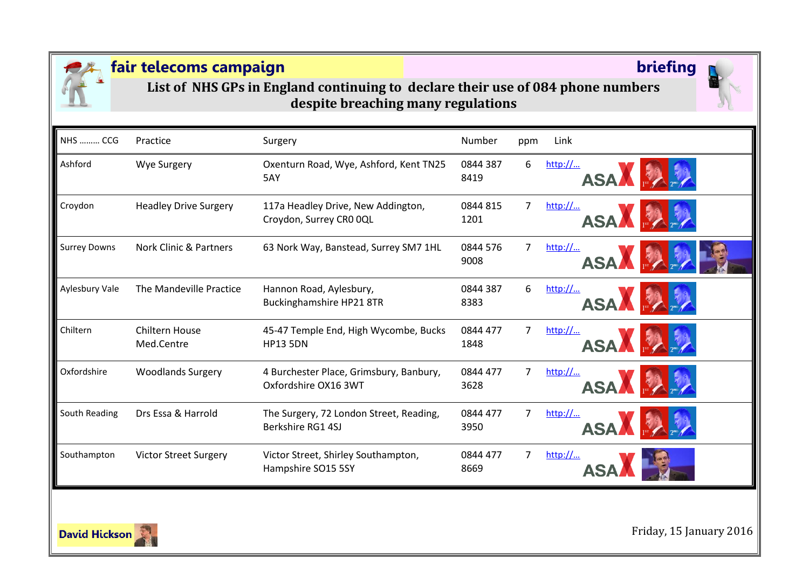

**List of NHS GPs in England continuing to declare their use of 084 phone numbers despite breaching many regulations**

| <b>NHS  CCG</b>     | Practice                            | Surgery                                                         | Number           | ppm            | Link                                           |
|---------------------|-------------------------------------|-----------------------------------------------------------------|------------------|----------------|------------------------------------------------|
| Ashford             | <b>Wye Surgery</b>                  | Oxenturn Road, Wye, Ashford, Kent TN25<br>5AY                   | 0844 387<br>8419 | 6              | http://<br>$\frac{1}{\sqrt{2}}$<br><b>ASAA</b> |
| Croydon             | <b>Headley Drive Surgery</b>        | 117a Headley Drive, New Addington,<br>Croydon, Surrey CRO OQL   | 0844 815<br>1201 | 7              | http://<br>ASA<br><b>READER</b>                |
| <b>Surrey Downs</b> | <b>Nork Clinic &amp; Partners</b>   | 63 Nork Way, Banstead, Surrey SM7 1HL                           | 0844 576<br>9008 | 7              | http://<br><b>ASA</b>                          |
| Aylesbury Vale      | The Mandeville Practice             | Hannon Road, Aylesbury,<br>Buckinghamshire HP21 8TR             | 0844 387<br>8383 | 6              | http://<br><b>ASA</b>                          |
| Chiltern            | <b>Chiltern House</b><br>Med.Centre | 45-47 Temple End, High Wycombe, Bucks<br><b>HP13 5DN</b>        | 0844 477<br>1848 | $\overline{7}$ | http://<br>ASAA                                |
| Oxfordshire         | <b>Woodlands Surgery</b>            | 4 Burchester Place, Grimsbury, Banbury,<br>Oxfordshire OX16 3WT | 0844 477<br>3628 | $\overline{7}$ | http://<br><b>ASA</b>                          |
| South Reading       | Drs Essa & Harrold                  | The Surgery, 72 London Street, Reading,<br>Berkshire RG1 4SJ    | 0844 477<br>3950 | 7              | http://<br><b>ASA</b>                          |
| Southampton         | <b>Victor Street Surgery</b>        | Victor Street, Shirley Southampton,<br>Hampshire SO15 5SY       | 0844 477<br>8669 | 7              | http://                                        |